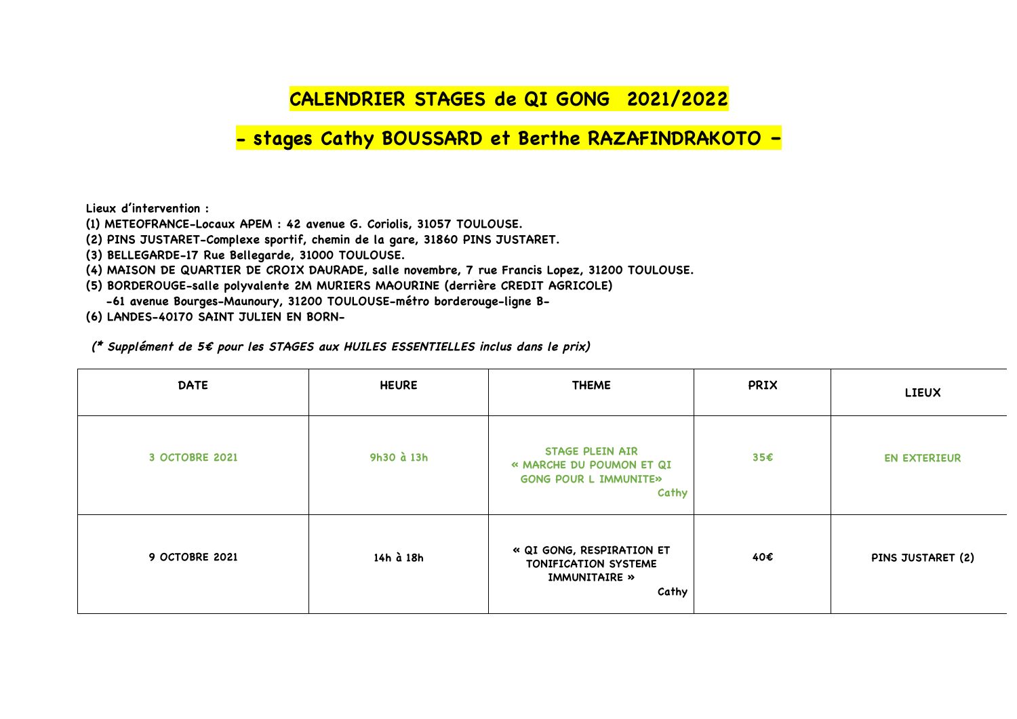## **CALENDRIER STAGES de QI GONG 2021/2022**

## **- stages Cathy BOUSSARD et Berthe RAZAFINDRAKOTO –**

**Lieux d'intervention :** 

**(1) METEOFRANCE-Locaux APEM : 42 avenue G. Coriolis, 31057 TOULOUSE.** 

**(2) PINS JUSTARET-Complexe sportif, chemin de la gare, 31860 PINS JUSTARET.** 

**(3) BELLEGARDE-17 Rue Bellegarde, 31000 TOULOUSE.** 

**(4) MAISON DE QUARTIER DE CROIX DAURADE, salle novembre, 7 rue Francis Lopez, 31200 TOULOUSE.** 

**(5) BORDEROUGE-salle polyvalente 2M MURIERS MAOURINE (derrière CREDIT AGRICOLE)**

 **-61 avenue Bourges-Maunoury, 31200 TOULOUSE-métro borderouge-ligne B-**

**(6) LANDES-40170 SAINT JULIEN EN BORN-**

**(\* Supplément de 5€ pour les STAGES aux HUILES ESSENTIELLES inclus dans le prix)** 

| <b>DATE</b>           | <b>HEURE</b> | <b>THEME</b>                                                                                | PRIX | <b>LIEUX</b>        |
|-----------------------|--------------|---------------------------------------------------------------------------------------------|------|---------------------|
| 3 OCTOBRE 2021        | 9h30 à 13h   | <b>STAGE PLEIN AIR</b><br>« MARCHE DU POUMON ET QI<br><b>GONG POUR L IMMUNITE»</b><br>Cathy | 35€  | <b>EN EXTERIEUR</b> |
| <b>9 OCTOBRE 2021</b> | 14h à 18h    | « QI GONG, RESPIRATION ET<br>TONIFICATION SYSTEME<br>IMMUNITAIRE »<br>Cathy                 | 40€  | PINS JUSTARET (2)   |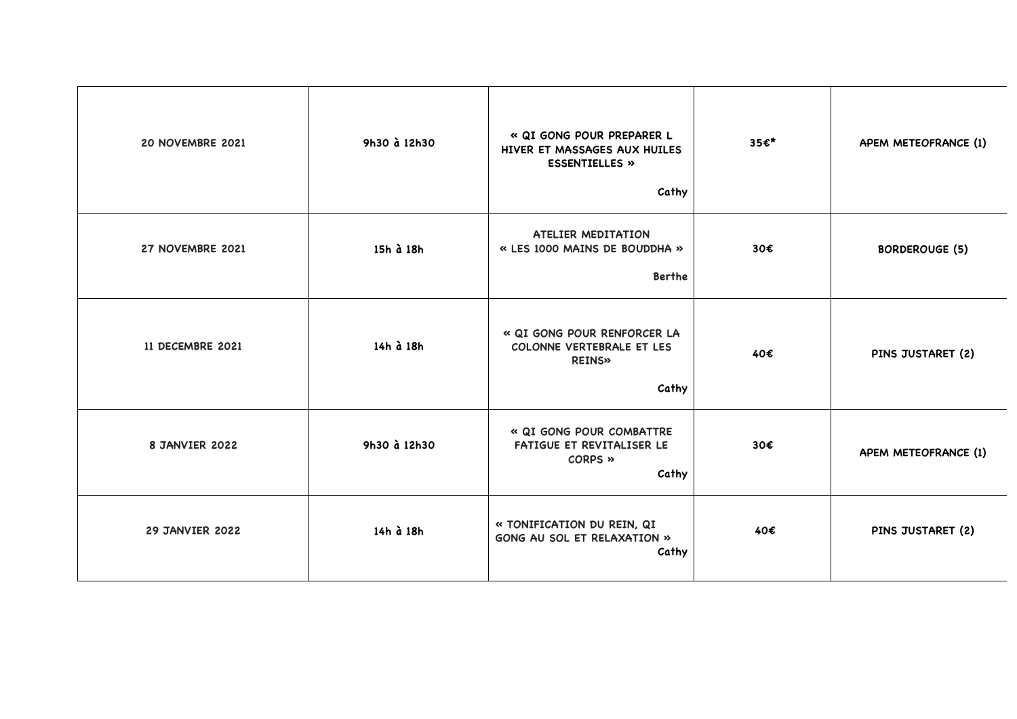| 20 NOVEMBRE 2021       | 9h30 à 12h30 | « QI GONG POUR PREPARER L<br>HIVER ET MASSAGES AUX HUILES<br><b>ESSENTIELLES »</b><br>Cathy | 35€* | APEM METEOFRANCE (1)  |
|------------------------|--------------|---------------------------------------------------------------------------------------------|------|-----------------------|
| 27 NOVEMBRE 2021       | 15h à 18h    | <b>ATELIER MEDITATION</b><br>« LES 1000 MAINS DE BOUDDHA »<br><b>Berthe</b>                 | 30€  | <b>BORDEROUGE (5)</b> |
| 11 DECEMBRE 2021       | 14h à 18h    | « QI GONG POUR RENFORCER LA<br>COLONNE VERTEBRALE ET LES<br><b>REINS»</b><br>Cathy          | 40€  | PINS JUSTARET (2)     |
| 8 JANVIER 2022         | 9h30 à 12h30 | « QI GONG POUR COMBATTRE<br>FATIGUE ET REVITALISER LE<br>CORPS »<br>Cathy                   | 30€  | APEM METEOFRANCE (1)  |
| <b>29 JANVIER 2022</b> | 14h à 18h    | « TONIFICATION DU REIN, QI<br>GONG AU SOL ET RELAXATION »<br>Cathy                          | 40€  | PINS JUSTARET (2)     |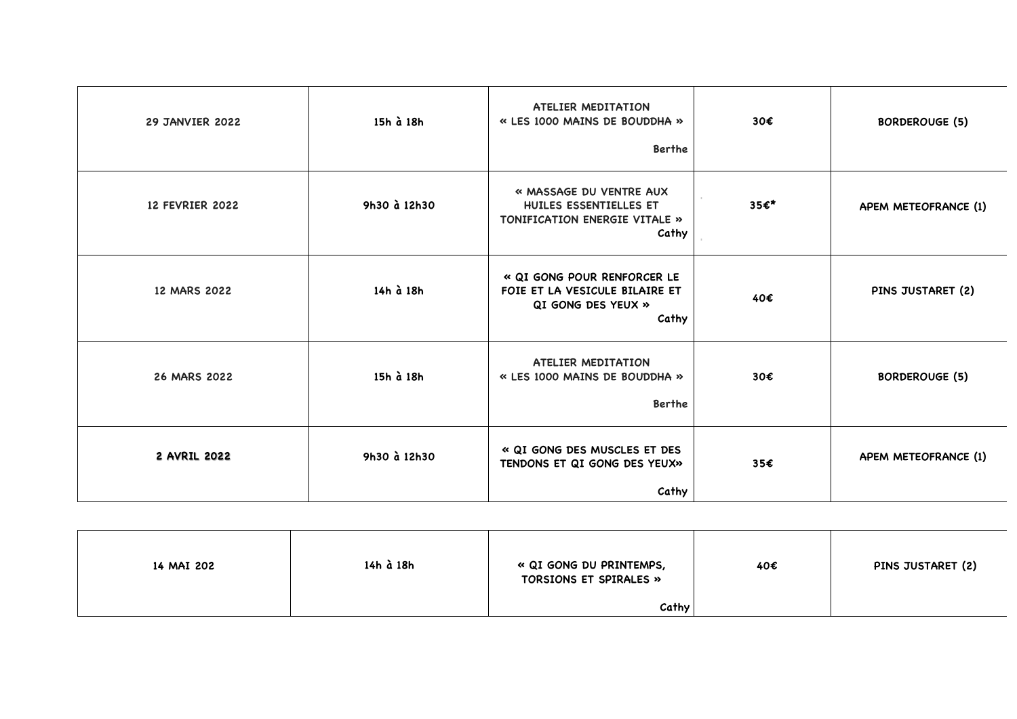| <b>29 JANVIER 2022</b> | 15h à 18h    | ATELIER MEDITATION<br>« LES 1000 MAINS DE BOUDDHA »<br>Berthe                                | 30€  | <b>BORDEROUGE (5)</b> |
|------------------------|--------------|----------------------------------------------------------------------------------------------|------|-----------------------|
| <b>12 FEVRIER 2022</b> | 9h30 à 12h30 | « MASSAGE DU VENTRE AUX<br>HUILES ESSENTIELLES ET<br>TONIFICATION ENERGIE VITALE »<br>Cathy  | 35€* | APEM METEOFRANCE (1)  |
| 12 MARS 2022           | 14h à 18h    | « QI GONG POUR RENFORCER LE<br>FOIE ET LA VESICULE BILAIRE ET<br>QI GONG DES YEUX »<br>Cathy | 40€  | PINS JUSTARET (2)     |
| 26 MARS 2022           | 15h à 18h    | ATELIER MEDITATION<br>« LES 1000 MAINS DE BOUDDHA »<br>Berthe                                | 30€  | <b>BORDEROUGE (5)</b> |
| 2 AVRIL 2022           | 9h30 à 12h30 | « QI GONG DES MUSCLES ET DES<br>TENDONS ET QI GONG DES YEUX»<br>Cathy                        | 35€  | APEM METEOFRANCE (1)  |

| 14 MAI 202 | 14h à 18h | « QI GONG DU PRINTEMPS,<br>TORSIONS ET SPIRALES » | 40€ | PINS JUSTARET (2) |
|------------|-----------|---------------------------------------------------|-----|-------------------|
|            |           | Cathy                                             |     |                   |